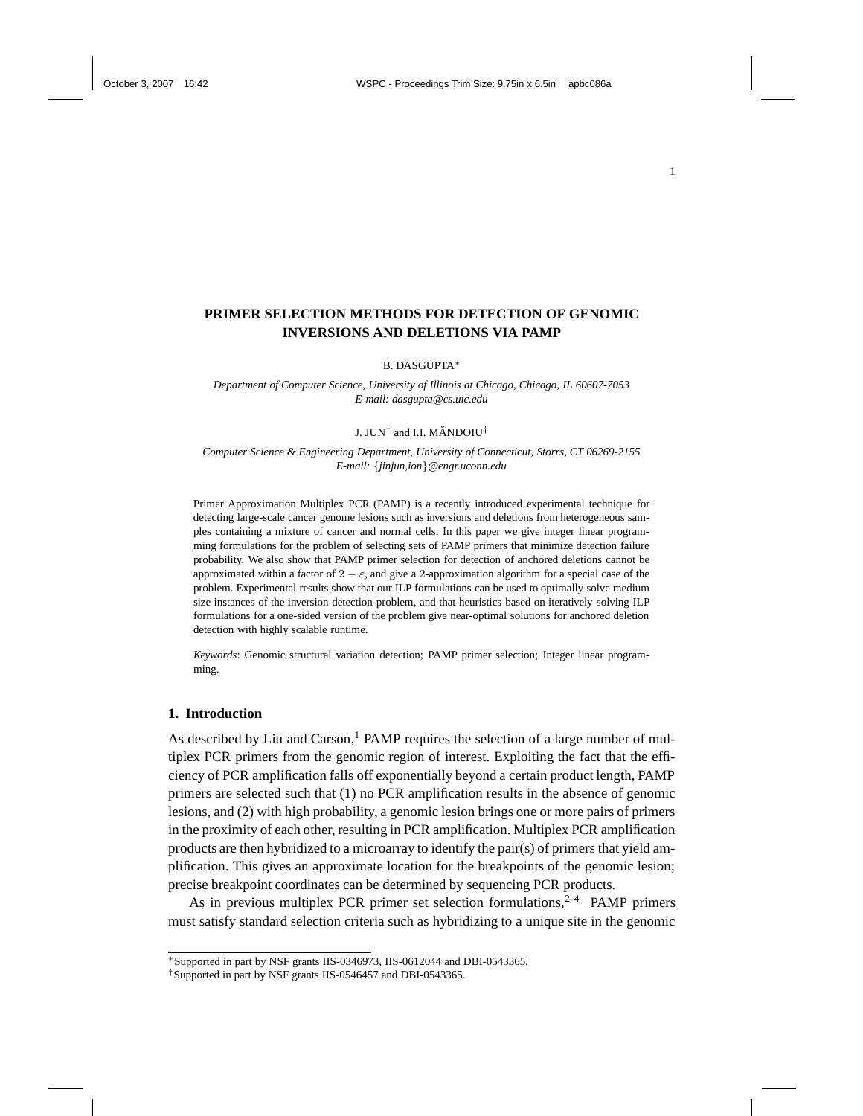# **PRIMER SELECTION METHODS FOR DETECTION OF GENOMIC INVERSIONS AND DELETIONS VIA PAMP**

B. DASGUPTA ∗

*Department of Computer Science, University of Illinois at Chicago, Chicago, IL 60607-7053 E-mail: dasgupta@cs.uic.edu*

## J. JUN $^\dagger$  and I.I. MĂNDOIU $^\dagger$

*Computer Science & Engineering Department, University of Connecticut, Storrs, CT 06269-2155 E-mail:* {*jinjun,ion*}*@engr.uconn.edu*

Primer Approximation Multiplex PCR (PAMP) is a recently introduced experimental technique for detecting large-scale cancer genome lesions such as inversions and deletions from heterogeneous samples containing a mixture of cancer and normal cells. In this paper we give integer linear programming formulations for the problem of selecting sets of PAMP primers that minimize detection failure probability. We also show that PAMP primer selection for detection of anchored deletions cannot be approximated within a factor of  $2 - \varepsilon$ , and give a 2-approximation algorithm for a special case of the problem. Experimental results show that our ILP formulations can be used to optimally solve medium size instances of the inversion detection problem, and that heuristics based on iteratively solving ILP formulations for a one-sided version of the problem give near-optimal solutions for anchored deletion detection with highly scalable runtime.

*Keywords*: Genomic structural variation detection; PAMP primer selection; Integer linear programming.

## **1. Introduction**

As described by Liu and  $Carson<sup>1</sup>$  PAMP requires the selection of a large number of multiplex PCR primers from the genomic region of interest. Exploiting the fact that the efficiency of PCR amplification falls off exponentially beyond a certain product length, PAMP primers are selected such that (1) no PCR amplification results in the absence of genomic lesions, and (2) with high probability, a genomic lesion brings one or more pairs of primers in the proximity of each other, resulting in PCR amplification. Multiplex PCR amplification products are then hybridized to a microarray to identify the pair(s) of primers that yield amplification. This gives an approximate location for the breakpoints of the genomic lesion; precise breakpoint coordinates can be determined by sequencing PCR products.

As in previous multiplex PCR primer set selection formulations,  $2-4$  PAMP primers must satisfy standard selection criteria such as hybridizing to a unique site in the genomic

<sup>∗</sup>Supported in part by NSF grants IIS-0346973, IIS-0612044 and DBI-0543365.

<sup>†</sup>Supported in part by NSF grants IIS-0546457 and DBI-0543365.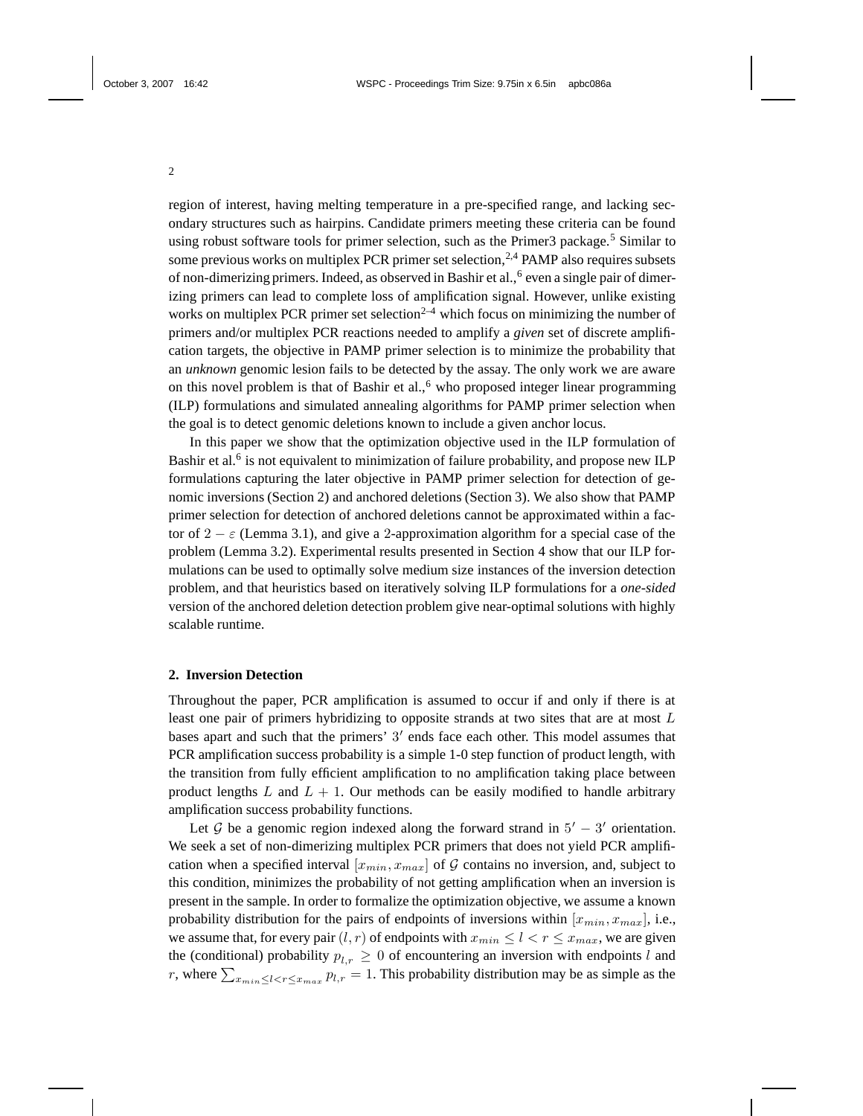region of interest, having melting temperature in a pre-specified range, and lacking secondary structures such as hairpins. Candidate primers meeting these criteria can be found using robust software tools for primer selection, such as the Primer3 package.<sup>5</sup> Similar to some previous works on multiplex PCR primer set selection,  $2,4$  PAMP also requires subsets of non-dimerizing primers. Indeed, as observed in Bashir et al., <sup>6</sup> even a single pair of dimerizing primers can lead to complete loss of amplification signal. However, unlike existing works on multiplex PCR primer set selection<sup>2-4</sup> which focus on minimizing the number of primers and/or multiplex PCR reactions needed to amplify a *given* set of discrete amplification targets, the objective in PAMP primer selection is to minimize the probability that an *unknown* genomic lesion fails to be detected by the assay. The only work we are aware on this novel problem is that of Bashir et al.,<sup>6</sup> who proposed integer linear programming (ILP) formulations and simulated annealing algorithms for PAMP primer selection when the goal is to detect genomic deletions known to include a given anchor locus.

In this paper we show that the optimization objective used in the ILP formulation of Bashir et al.<sup>6</sup> is not equivalent to minimization of failure probability, and propose new ILP formulations capturing the later objective in PAMP primer selection for detection of genomic inversions (Section 2) and anchored deletions (Section 3). We also show that PAMP primer selection for detection of anchored deletions cannot be approximated within a factor of  $2 - \varepsilon$  (Lemma 3.1), and give a 2-approximation algorithm for a special case of the problem (Lemma 3.2). Experimental results presented in Section 4 show that our ILP formulations can be used to optimally solve medium size instances of the inversion detection problem, and that heuristics based on iteratively solving ILP formulations for a *one-sided* version of the anchored deletion detection problem give near-optimal solutions with highly scalable runtime.

# **2. Inversion Detection**

Throughout the paper, PCR amplification is assumed to occur if and only if there is at least one pair of primers hybridizing to opposite strands at two sites that are at most L bases apart and such that the primers'  $3'$  ends face each other. This model assumes that PCR amplification success probability is a simple 1-0 step function of product length, with the transition from fully efficient amplification to no amplification taking place between product lengths  $L$  and  $L + 1$ . Our methods can be easily modified to handle arbitrary amplification success probability functions.

Let  $\mathcal G$  be a genomic region indexed along the forward strand in  $5' - 3'$  orientation. We seek a set of non-dimerizing multiplex PCR primers that does not yield PCR amplification when a specified interval  $[x_{min}, x_{max}]$  of G contains no inversion, and, subject to this condition, minimizes the probability of not getting amplification when an inversion is present in the sample. In order to formalize the optimization objective, we assume a known probability distribution for the pairs of endpoints of inversions within  $[x_{min}, x_{max}]$ , i.e., we assume that, for every pair  $(l, r)$  of endpoints with  $x_{min} \le l < r \le x_{max}$ , we are given the (conditional) probability  $p_{l,r} \geq 0$  of encountering an inversion with endpoints l and r, where  $\sum_{x_{min} \leq l < r \leq x_{max}} p_{l,r} = 1$ . This probability distribution may be as simple as the

2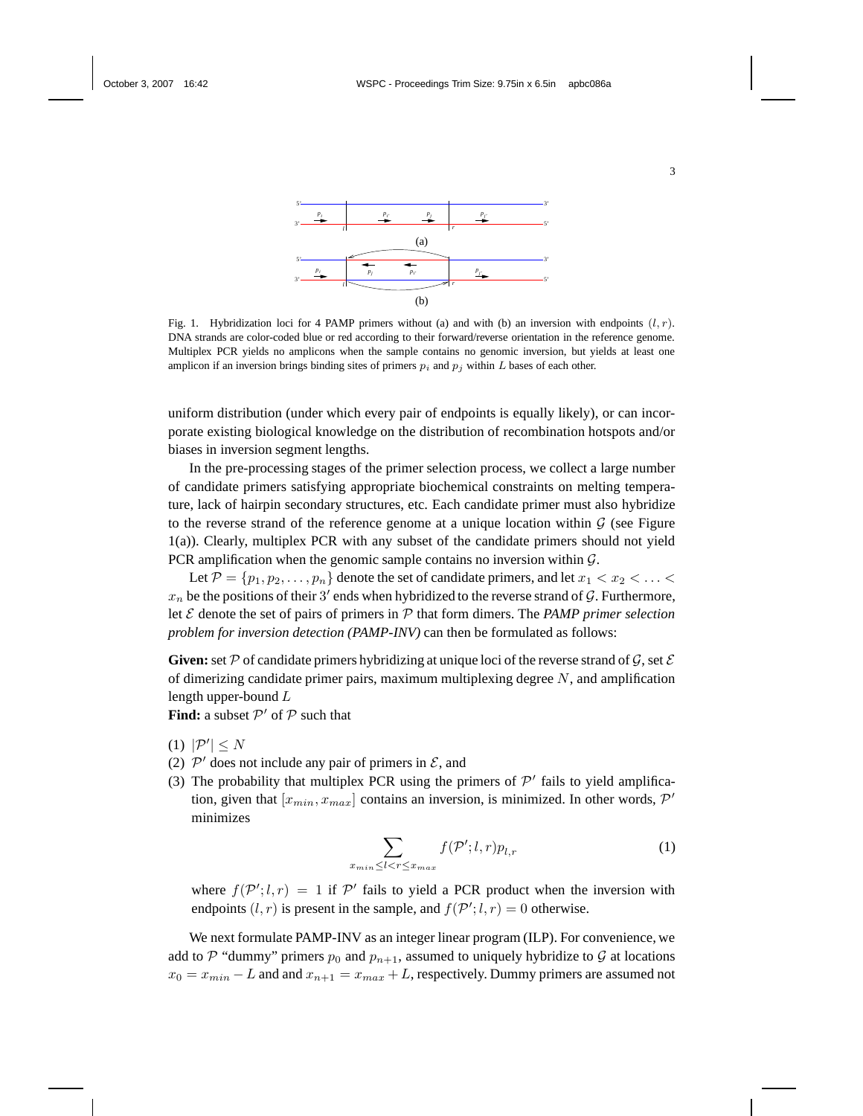

Fig. 1. Hybridization loci for 4 PAMP primers without (a) and with (b) an inversion with endpoints  $(l, r)$ . DNA strands are color-coded blue or red according to their forward/reverse orientation in the reference genome. Multiplex PCR yields no amplicons when the sample contains no genomic inversion, but yields at least one amplicon if an inversion brings binding sites of primers  $p_i$  and  $p_j$  within L bases of each other.

uniform distribution (under which every pair of endpoints is equally likely), or can incorporate existing biological knowledge on the distribution of recombination hotspots and/or biases in inversion segment lengths.

In the pre-processing stages of the primer selection process, we collect a large number of candidate primers satisfying appropriate biochemical constraints on melting temperature, lack of hairpin secondary structures, etc. Each candidate primer must also hybridize to the reverse strand of the reference genome at a unique location within  $\mathcal G$  (see Figure 1(a)). Clearly, multiplex PCR with any subset of the candidate primers should not yield PCR amplification when the genomic sample contains no inversion within  $\mathcal{G}$ .

Let  $\mathcal{P} = \{p_1, p_2, \ldots, p_n\}$  denote the set of candidate primers, and let  $x_1 < x_2 < \ldots <$  $x_n$  be the positions of their 3' ends when hybridized to the reverse strand of G. Furthermore, let E denote the set of pairs of primers in P that form dimers. The *PAMP primer selection problem for inversion detection (PAMP-INV)* can then be formulated as follows:

**Given:** set P of candidate primers hybridizing at unique loci of the reverse strand of G, set  $\mathcal E$ of dimerizing candidate primer pairs, maximum multiplexing degree  $N$ , and amplification length upper-bound L

**Find:** a subset  $\mathcal{P}'$  of  $\mathcal{P}$  such that

- (1)  $|\mathcal{P}'| \leq N$
- (2)  $\mathcal{P}'$  does not include any pair of primers in  $\mathcal{E}$ , and

 $x_n$ 

(3) The probability that multiplex PCR using the primers of  $\mathcal{P}'$  fails to yield amplification, given that  $[x_{min}, x_{max}]$  contains an inversion, is minimized. In other words,  $\mathcal{P}'$ minimizes

$$
\sum_{\min\leq l < r \leq x_{\max}} f(\mathcal{P}'; l, r) p_{l, r} \tag{1}
$$

where  $f(P'; l, r) = 1$  if P' fails to yield a PCR product when the inversion with endpoints  $(l, r)$  is present in the sample, and  $f(\mathcal{P}'; l, r) = 0$  otherwise.

We next formulate PAMP-INV as an integer linear program (ILP). For convenience, we add to P "dummy" primers  $p_0$  and  $p_{n+1}$ , assumed to uniquely hybridize to G at locations  $x_0 = x_{min} - L$  and and  $x_{n+1} = x_{max} + L$ , respectively. Dummy primers are assumed not

3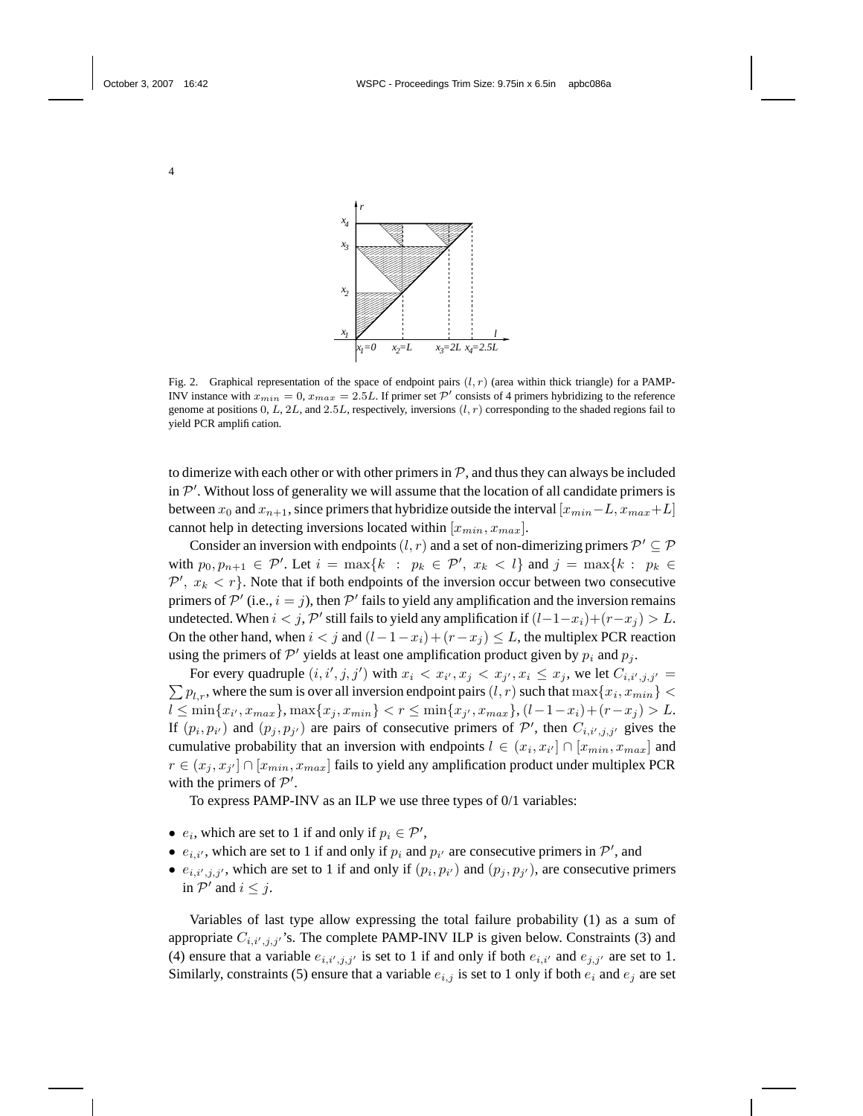

Fig. 2. Graphical representation of the space of endpoint pairs  $(l, r)$  (area within thick triangle) for a PAMP-INV instance with  $x_{min} = 0$ ,  $x_{max} = 2.5L$ . If primer set  $P'$  consists of 4 primers hybridizing to the reference genome at positions  $0, L, 2L$ , and  $2.5L$ , respectively, inversions  $(l, r)$  corresponding to the shaded regions fail to yield PCR amplification.

to dimerize with each other or with other primers in  $P$ , and thus they can always be included in  $\mathcal{P}'$ . Without loss of generality we will assume that the location of all candidate primers is between  $x_0$  and  $x_{n+1}$ , since primers that hybridize outside the interval  $[x_{min}-L, x_{max}+L]$ cannot help in detecting inversions located within  $[x_{min}, x_{max}]$ .

Consider an inversion with endpoints  $(l, r)$  and a set of non-dimerizing primers  $\mathcal{P}' \subseteq \mathcal{P}$ with  $p_0, p_{n+1} \in \mathcal{P}'$ . Let  $i = \max\{k : p_k \in \mathcal{P}', x_k < l\}$  and  $j = \max\{k : p_k \in \mathcal{P}'\}$  $\mathcal{P}', x_k < r$ . Note that if both endpoints of the inversion occur between two consecutive primers of  $\mathcal{P}'$  (i.e.,  $i = j$ ), then  $\mathcal{P}'$  fails to yield any amplification and the inversion remains undetected. When  $i < j$ ,  $\mathcal{P}'$  still fails to yield any amplification if  $(l-1-x_i)+(r-x_j) > L$ . On the other hand, when  $i < j$  and  $(l-1-x_i)+(r-x_j) \leq L$ , the multiplex PCR reaction using the primers of  $\mathcal{P}'$  yields at least one amplification product given by  $p_i$  and  $p_j$ .

For every quadruple  $(i, i', j, j')$  with  $x_i < x_{i'}, x_j < x_{j'}, x_i \leq x_j$ , we let  $C_{i, i', j, j'} =$  $\sum p_{l,r}$ , where the sum is over all inversion endpoint pairs  $(l,r)$  such that  $\max\{x_i,x_{min}\} <$  $l \leq \min\{x_{i'}, x_{max}\}, \max\{x_j, x_{min}\} < r \leq \min\{x_{j'}, x_{max}\}, (l-1-x_i) + (r-x_j) > L.$ If  $(p_i, p_{i'})$  and  $(p_j, p_{j'})$  are pairs of consecutive primers of  $\mathcal{P}'$ , then  $C_{i,i',j,j'}$  gives the cumulative probability that an inversion with endpoints  $l \in (x_i, x_{i'}] \cap [x_{min}, x_{max}]$  and  $r \in (x_j, x_{j'}] \cap [x_{min}, x_{max}]$  fails to yield any amplification product under multiplex PCR with the primers of  $P'$ .

To express PAMP-INV as an ILP we use three types of 0/1 variables:

- $e_i$ , which are set to 1 if and only if  $p_i \in \mathcal{P}'$ ,
- $e_{i,i'}$ , which are set to 1 if and only if  $p_i$  and  $p_{i'}$  are consecutive primers in  $\mathcal{P}'$ , and
- $e_{i,i',j,j'}$ , which are set to 1 if and only if  $(p_i, p_{i'})$  and  $(p_j, p_{j'})$ , are consecutive primers in  $\mathcal{P}'$  and  $i \leq j$ .

Variables of last type allow expressing the total failure probability (1) as a sum of appropriate  $C_{i,i',j,j'}$ 's. The complete PAMP-INV ILP is given below. Constraints (3) and (4) ensure that a variable  $e_{i,i',j,j'}$  is set to 1 if and only if both  $e_{i,i'}$  and  $e_{j,j'}$  are set to 1. Similarly, constraints (5) ensure that a variable  $e_{i,j}$  is set to 1 only if both  $e_i$  and  $e_j$  are set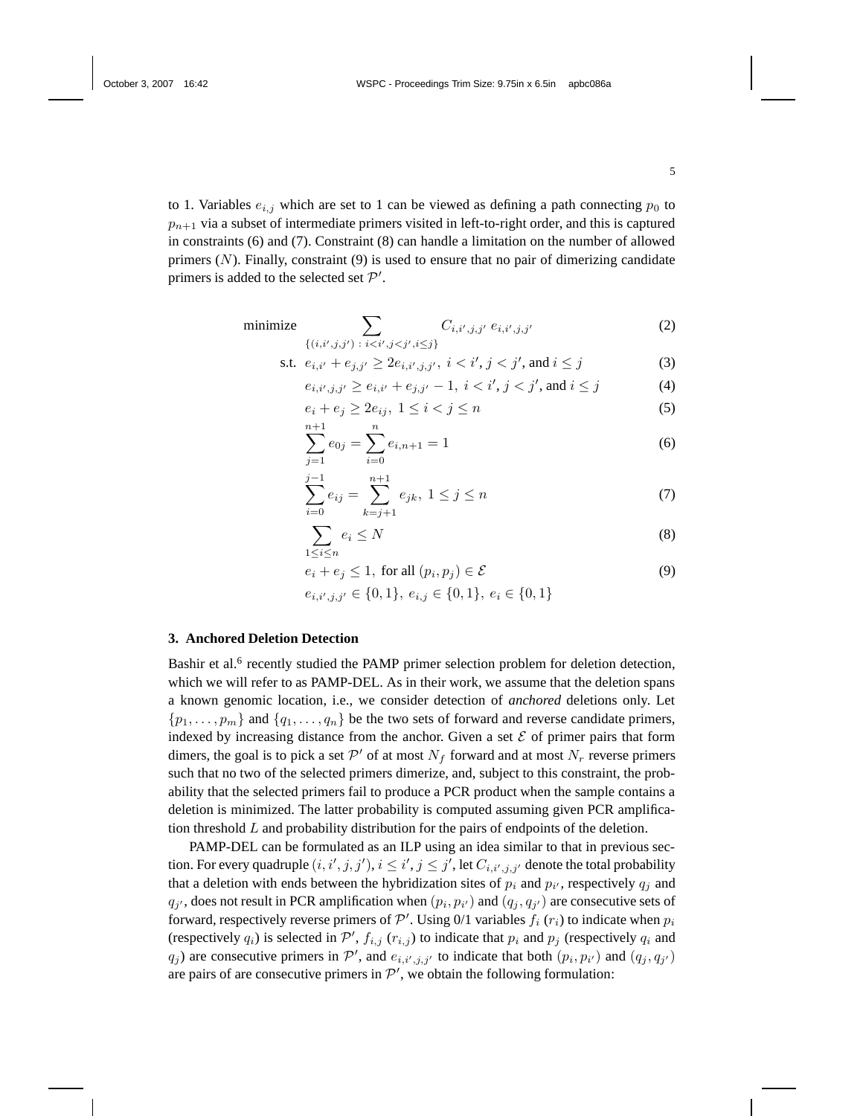to 1. Variables  $e_{i,j}$  which are set to 1 can be viewed as defining a path connecting  $p_0$  to  $p_{n+1}$  via a subset of intermediate primers visited in left-to-right order, and this is captured in constraints (6) and (7). Constraint (8) can handle a limitation on the number of allowed primers  $(N)$ . Finally, constraint  $(9)$  is used to ensure that no pair of dimerizing candidate primers is added to the selected set  $\mathcal{P}'$ .

minimize 
$$
\sum_{\{(i,i',j,j')\;:\;i (2)
$$

s.t. 
$$
e_{i,i'} + e_{j,j'} \ge 2e_{i,i',j,j'}, \ i < i', j < j', \text{ and } i \le j
$$
 (3)

$$
e_{i,i',j,j'} \ge e_{i,i'} + e_{j,j'} - 1, \ i < i', j < j', \text{ and } i \le j \tag{4}
$$

$$
e_i + e_j \ge 2e_{ij}, \ 1 \le i < j \le n \tag{5}
$$

$$
\sum_{j=1}^{n+1} e_{0j} = \sum_{i=0}^{n} e_{i,n+1} = 1
$$
 (6)

$$
\sum_{i=0}^{j-1} e_{ij} = \sum_{k=j+1}^{n+1} e_{jk}, \ 1 \le j \le n \tag{7}
$$

$$
\sum_{1 \le i \le n} e_i \le N \tag{8}
$$

$$
e_i + e_j \le 1, \text{ for all } (p_i, p_j) \in \mathcal{E}
$$
 (9)

$$
e_{i,i',j,j'} \in \{0,1\}, \, e_{i,j} \in \{0,1\}, \, e_i \in \{0,1\}
$$

#### **3. Anchored Deletion Detection**

Bashir et al.<sup>6</sup> recently studied the PAMP primer selection problem for deletion detection, which we will refer to as PAMP-DEL. As in their work, we assume that the deletion spans a known genomic location, i.e., we consider detection of *anchored* deletions only. Let  $\{p_1, \ldots, p_m\}$  and  $\{q_1, \ldots, q_n\}$  be the two sets of forward and reverse candidate primers, indexed by increasing distance from the anchor. Given a set  $\mathcal E$  of primer pairs that form dimers, the goal is to pick a set  $\mathcal{P}'$  of at most  $N_f$  forward and at most  $N_r$  reverse primers such that no two of the selected primers dimerize, and, subject to this constraint, the probability that the selected primers fail to produce a PCR product when the sample contains a deletion is minimized. The latter probability is computed assuming given PCR amplification threshold  $L$  and probability distribution for the pairs of endpoints of the deletion.

PAMP-DEL can be formulated as an ILP using an idea similar to that in previous section. For every quadruple  $(i, i', j, j'), i \leq i', j \leq j'$ , let  $C_{i, i', j, j'}$  denote the total probability that a deletion with ends between the hybridization sites of  $p_i$  and  $p_{i'}$ , respectively  $q_j$  and  $q_{j'}$ , does not result in PCR amplification when  $(p_i, p_{i'})$  and  $(q_j, q_{j'})$  are consecutive sets of forward, respectively reverse primers of  $\mathcal{P}'$ . Using 0/1 variables  $f_i(r_i)$  to indicate when  $p_i$ (respectively  $q_i$ ) is selected in  $\mathcal{P}'$ ,  $f_{i,j}$  ( $r_{i,j}$ ) to indicate that  $p_i$  and  $p_j$  (respectively  $q_i$  and  $q_j$ ) are consecutive primers in P', and  $e_{i,i',j,j'}$  to indicate that both  $(p_i, p_{i'})$  and  $(q_j, q_{j'})$ are pairs of are consecutive primers in  $\mathcal{P}'$ , we obtain the following formulation: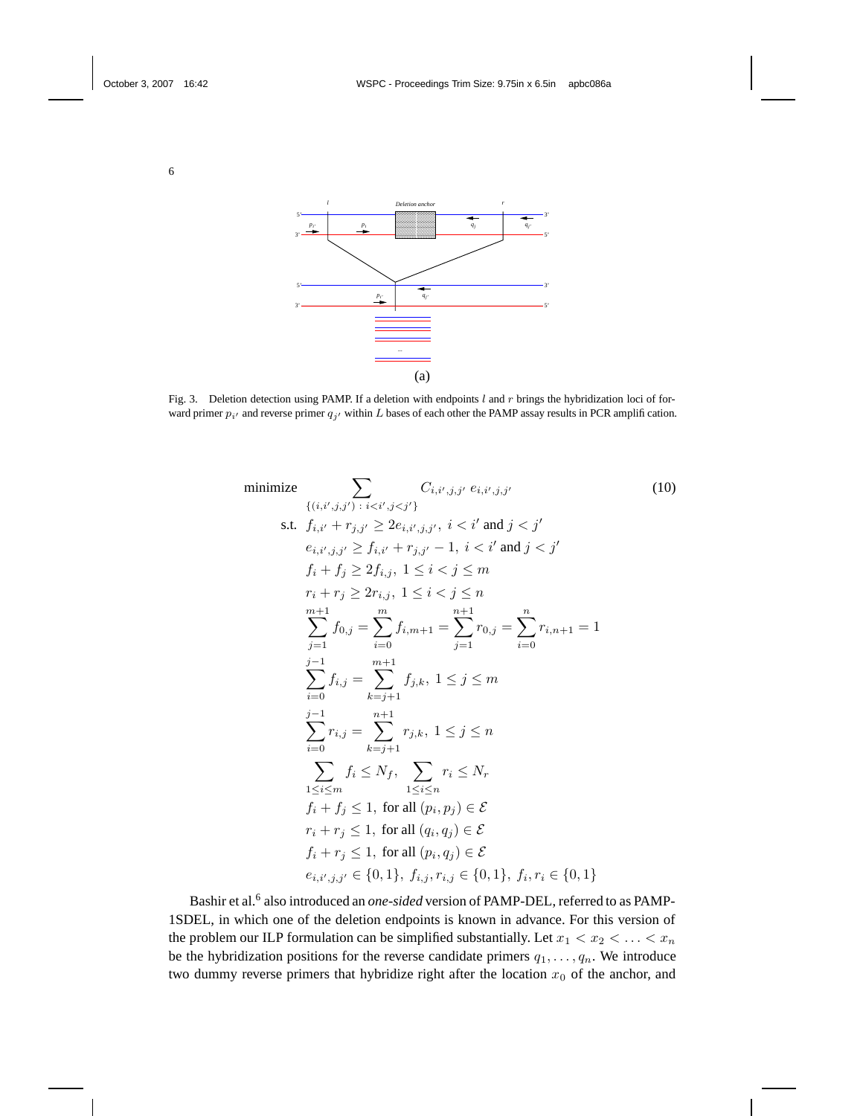

Fig. 3. Deletion detection using PAMP. If a deletion with endpoints  $l$  and  $r$  brings the hybridization loci of forward primer  $p_{i'}$  and reverse primer  $q_{j'}$  within L bases of each other the PAMP assay results in PCR amplification.



Bashir et al.<sup>6</sup> also introduced an *one-sided* version of PAMP-DEL, referred to as PAMP-1SDEL, in which one of the deletion endpoints is known in advance. For this version of the problem our ILP formulation can be simplified substantially. Let  $x_1 < x_2 < \ldots < x_n$ be the hybridization positions for the reverse candidate primers  $q_1, \ldots, q_n$ . We introduce two dummy reverse primers that hybridize right after the location  $x_0$  of the anchor, and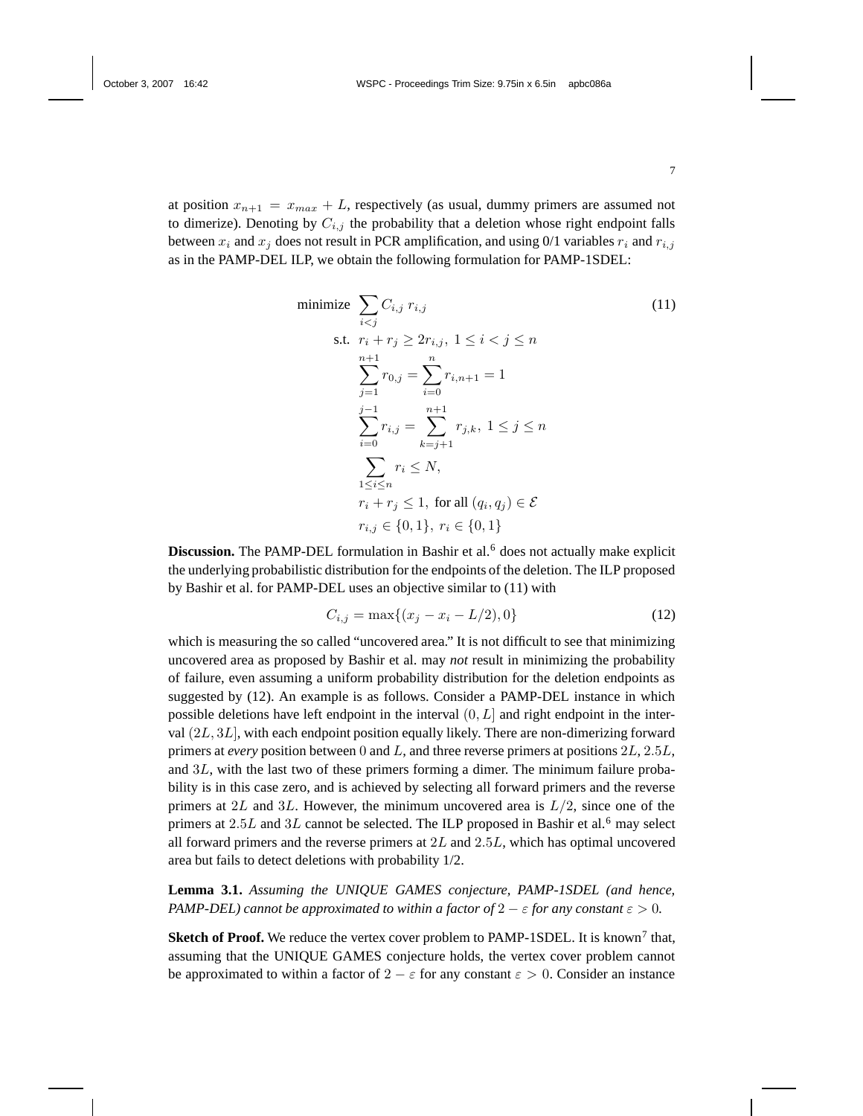at position  $x_{n+1} = x_{max} + L$ , respectively (as usual, dummy primers are assumed not to dimerize). Denoting by  $C_{i,j}$  the probability that a deletion whose right endpoint falls between  $x_i$  and  $x_j$  does not result in PCR amplification, and using 0/1 variables  $r_i$  and  $r_{i,j}$ as in the PAMP-DEL ILP, we obtain the following formulation for PAMP-1SDEL:

minimize 
$$
\sum_{i < j} C_{i,j} r_{i,j} \tag{11}
$$
\n
$$
\text{s.t. } r_i + r_j \ge 2r_{i,j}, \ 1 \le i < j \le n
$$
\n
$$
\sum_{j=1}^{n+1} r_{0,j} = \sum_{i=0}^{n} r_{i,n+1} = 1
$$
\n
$$
\sum_{i=0}^{j-1} r_{i,j} = \sum_{k=j+1}^{n+1} r_{j,k}, \ 1 \le j \le n
$$
\n
$$
\sum_{1 \le i \le n} r_i \le N,
$$
\n
$$
r_i + r_j \le 1, \text{ for all } (q_i, q_j) \in \mathcal{E}
$$
\n
$$
r_{i,j} \in \{0, 1\}, \ r_i \in \{0, 1\}
$$

**Discussion.** The PAMP-DEL formulation in Bashir et al.<sup>6</sup> does not actually make explicit the underlying probabilistic distribution for the endpoints of the deletion. The ILP proposed by Bashir et al. for PAMP-DEL uses an objective similar to (11) with

$$
C_{i,j} = \max\{(x_j - x_i - L/2), 0\}
$$
 (12)

which is measuring the so called "uncovered area." It is not difficult to see that minimizing uncovered area as proposed by Bashir et al. may *not* result in minimizing the probability of failure, even assuming a uniform probability distribution for the deletion endpoints as suggested by (12). An example is as follows. Consider a PAMP-DEL instance in which possible deletions have left endpoint in the interval  $(0, L]$  and right endpoint in the interval (2L, 3L], with each endpoint position equally likely. There are non-dimerizing forward primers at *every* position between 0 and L, and three reverse primers at positions 2L, 2.5L, and 3L, with the last two of these primers forming a dimer. The minimum failure probability is in this case zero, and is achieved by selecting all forward primers and the reverse primers at 2L and 3L. However, the minimum uncovered area is  $L/2$ , since one of the primers at  $2.5L$  and  $3L$  cannot be selected. The ILP proposed in Bashir et al.<sup>6</sup> may select all forward primers and the reverse primers at  $2L$  and  $2.5L$ , which has optimal uncovered area but fails to detect deletions with probability 1/2.

**Lemma 3.1.** *Assuming the UNIQUE GAMES conjecture, PAMP-1SDEL (and hence, PAMP-DEL) cannot be approximated to within a factor of*  $2 - \varepsilon$  *for any constant*  $\varepsilon > 0$ *.* 

**Sketch of Proof.** We reduce the vertex cover problem to PAMP-1SDEL. It is known<sup>7</sup> that, assuming that the UNIQUE GAMES conjecture holds, the vertex cover problem cannot be approximated to within a factor of  $2 - \varepsilon$  for any constant  $\varepsilon > 0$ . Consider an instance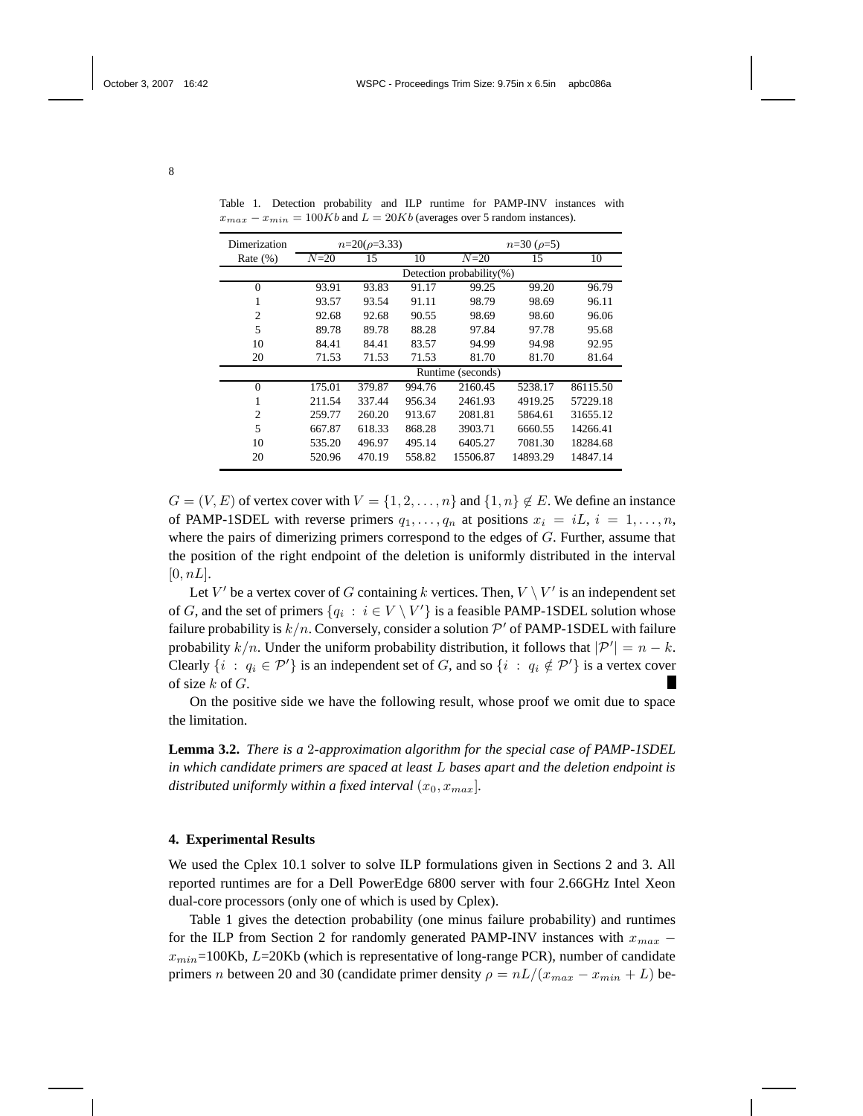| Dimerization   | $n=20(\rho=3.33)$        |        |        | $n=30 \; (\rho=5)$ |          |          |  |
|----------------|--------------------------|--------|--------|--------------------|----------|----------|--|
| Rate $(\%)$    | $N=20$                   | 15     | 10     | $N=20$             | 15       | 10       |  |
|                | Detection probability(%) |        |        |                    |          |          |  |
| $\theta$       | 93.91                    | 93.83  | 91.17  | 99.25              | 99.20    | 96.79    |  |
| 1              | 93.57                    | 93.54  | 91.11  | 98.79              | 98.69    | 96.11    |  |
| $\overline{c}$ | 92.68                    | 92.68  | 90.55  | 98.69              | 98.60    | 96.06    |  |
| 5              | 89.78                    | 89.78  | 88.28  | 97.84              | 97.78    | 95.68    |  |
| 10             | 84.41                    | 84.41  | 83.57  | 94.99              | 94.98    | 92.95    |  |
| 20             | 71.53                    | 71.53  | 71.53  | 81.70              | 81.70    | 81.64    |  |
|                | Runtime (seconds)        |        |        |                    |          |          |  |
| $\theta$       | 175.01                   | 379.87 | 994.76 | 2160.45            | 5238.17  | 86115.50 |  |
| 1              | 211.54                   | 337.44 | 956.34 | 2461.93            | 4919.25  | 57229.18 |  |
| $\overline{c}$ | 259.77                   | 260.20 | 913.67 | 2081.81            | 5864.61  | 31655.12 |  |
| 5              | 667.87                   | 618.33 | 868.28 | 3903.71            | 6660.55  | 14266.41 |  |
| 10             | 535.20                   | 496.97 | 495.14 | 6405.27            | 7081.30  | 18284.68 |  |
| 20             | 520.96                   | 470.19 | 558.82 | 15506.87           | 14893.29 | 14847.14 |  |

Table 1. Detection probability and ILP runtime for PAMP-INV instances with  $x_{max} - x_{min} = 100Kb$  and  $L = 20Kb$  (averages over 5 random instances).

 $G = (V, E)$  of vertex cover with  $V = \{1, 2, \ldots, n\}$  and  $\{1, n\} \notin E$ . We define an instance of PAMP-1SDEL with reverse primers  $q_1, \ldots, q_n$  at positions  $x_i = iL, i = 1, \ldots, n$ , where the pairs of dimerizing primers correspond to the edges of  $G$ . Further, assume that the position of the right endpoint of the deletion is uniformly distributed in the interval  $[0, nL]$ .

Let V' be a vertex cover of G containing k vertices. Then,  $V \setminus V'$  is an independent set of G, and the set of primers  $\{q_i : i \in V \setminus V'\}$  is a feasible PAMP-1SDEL solution whose failure probability is  $k/n$ . Conversely, consider a solution  $\mathcal{P}'$  of PAMP-1SDEL with failure probability  $k/n$ . Under the uniform probability distribution, it follows that  $|\mathcal{P}'| = n - k$ . Clearly  $\{i : q_i \in \mathcal{P}'\}$  is an independent set of G, and so  $\{i : q_i \notin \mathcal{P}'\}$  is a vertex cover of size  $k$  of  $G$ .

On the positive side we have the following result, whose proof we omit due to space the limitation.

**Lemma 3.2.** *There is a* 2*-approximation algorithm for the special case of PAMP-1SDEL in which candidate primers are spaced at least* L *bases apart and the deletion endpoint is distributed uniformly within a fixed interval*  $(x_0, x_{max})$ *.* 

## **4. Experimental Results**

We used the Cplex 10.1 solver to solve ILP formulations given in Sections 2 and 3. All reported runtimes are for a Dell PowerEdge 6800 server with four 2.66GHz Intel Xeon dual-core processors (only one of which is used by Cplex).

Table 1 gives the detection probability (one minus failure probability) and runtimes for the ILP from Section 2 for randomly generated PAMP-INV instances with  $x_{max}$  –  $x_{min}$ =100Kb,  $L$ =20Kb (which is representative of long-range PCR), number of candidate primers n between 20 and 30 (candidate primer density  $\rho = nL/(x_{max} - x_{min} + L)$  be-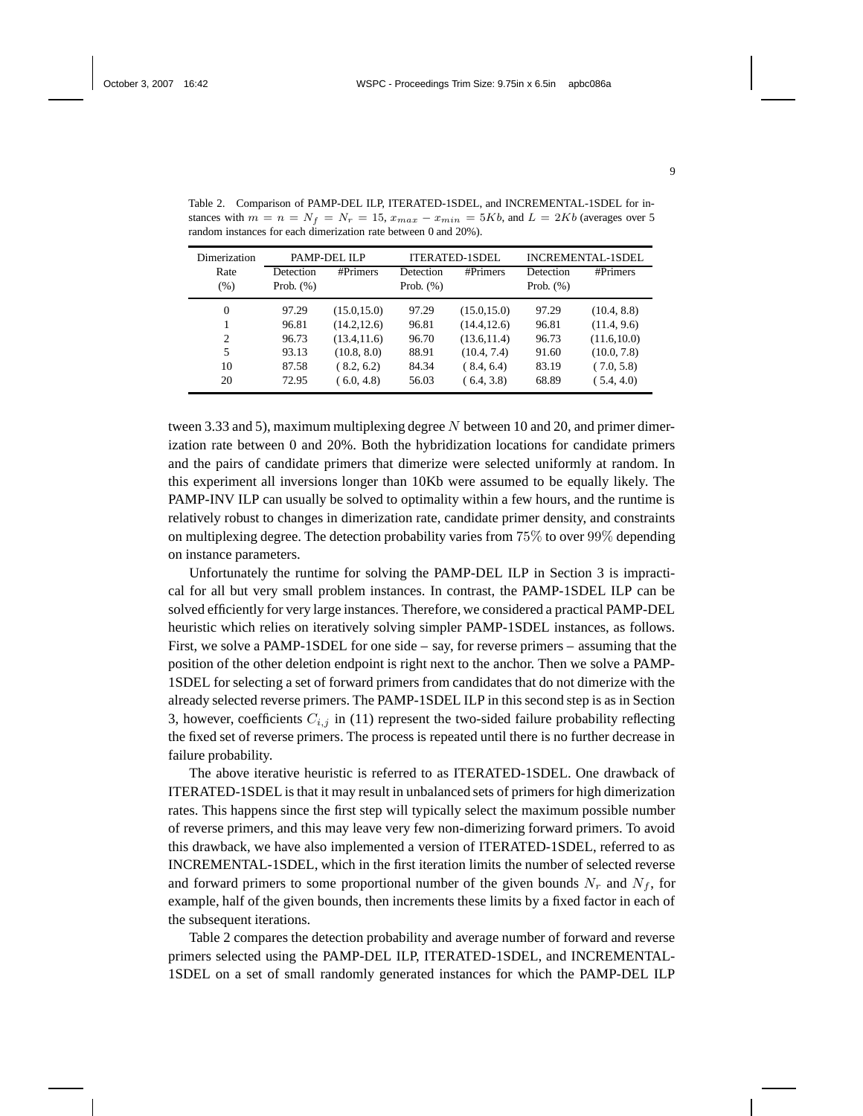| Dimerization | PAMP-DEL ILP |              | ITERATED-1SDEL |              | <b>INCREMENTAL-1SDEL</b> |              |
|--------------|--------------|--------------|----------------|--------------|--------------------------|--------------|
| Rate         | Detection    | #Primers     | Detection      | #Primers     | Detection                | #Primers     |
| (% )         | Prob. $(\%)$ |              | Prob. $(\%)$   |              | Prob. $(\%)$             |              |
| $\Omega$     | 97.29        | (15.0, 15.0) | 97.29          | (15.0, 15.0) | 97.29                    | (10.4, 8.8)  |
|              | 96.81        | (14.2, 12.6) | 96.81          | (14.4, 12.6) | 96.81                    | (11.4, 9.6)  |
| 2            | 96.73        | (13.4, 11.6) | 96.70          | (13.6, 11.4) | 96.73                    | (11.6, 10.0) |
| 5            | 93.13        | (10.8, 8.0)  | 88.91          | (10.4, 7.4)  | 91.60                    | (10.0, 7.8)  |
| 10           | 87.58        | (8.2, 6.2)   | 84.34          | (8.4, 6.4)   | 83.19                    | (7.0, 5.8)   |
| 20           | 72.95        | (6.0, 4.8)   | 56.03          | (6.4, 3.8)   | 68.89                    | (5.4, 4.0)   |

Table 2. Comparison of PAMP-DEL ILP, ITERATED-1SDEL, and INCREMENTAL-1SDEL for instances with  $m = n = N_f = N_r = 15$ ,  $x_{max} - x_{min} = 5Kb$ , and  $L = 2Kb$  (averages over 5) random instances for each dimerization rate between 0 and 20%).

tween 3.33 and 5), maximum multiplexing degree N between 10 and 20, and primer dimerization rate between 0 and 20%. Both the hybridization locations for candidate primers and the pairs of candidate primers that dimerize were selected uniformly at random. In this experiment all inversions longer than 10Kb were assumed to be equally likely. The PAMP-INV ILP can usually be solved to optimality within a few hours, and the runtime is relatively robust to changes in dimerization rate, candidate primer density, and constraints on multiplexing degree. The detection probability varies from 75% to over 99% depending on instance parameters.

Unfortunately the runtime for solving the PAMP-DEL ILP in Section 3 is impractical for all but very small problem instances. In contrast, the PAMP-1SDEL ILP can be solved efficiently for very large instances. Therefore, we considered a practical PAMP-DEL heuristic which relies on iteratively solving simpler PAMP-1SDEL instances, as follows. First, we solve a PAMP-1SDEL for one side – say, for reverse primers – assuming that the position of the other deletion endpoint is right next to the anchor. Then we solve a PAMP-1SDEL for selecting a set of forward primers from candidates that do not dimerize with the already selected reverse primers. The PAMP-1SDEL ILP in this second step is as in Section 3, however, coefficients  $C_{i,j}$  in (11) represent the two-sided failure probability reflecting the fixed set of reverse primers. The process is repeated until there is no further decrease in failure probability.

The above iterative heuristic is referred to as ITERATED-1SDEL. One drawback of ITERATED-1SDEL is that it may result in unbalanced sets of primersfor high dimerization rates. This happens since the first step will typically select the maximum possible number of reverse primers, and this may leave very few non-dimerizing forward primers. To avoid this drawback, we have also implemented a version of ITERATED-1SDEL, referred to as INCREMENTAL-1SDEL, which in the first iteration limits the number of selected reverse and forward primers to some proportional number of the given bounds  $N_r$  and  $N_f$ , for example, half of the given bounds, then increments these limits by a fixed factor in each of the subsequent iterations.

Table 2 compares the detection probability and average number of forward and reverse primers selected using the PAMP-DEL ILP, ITERATED-1SDEL, and INCREMENTAL-1SDEL on a set of small randomly generated instances for which the PAMP-DEL ILP